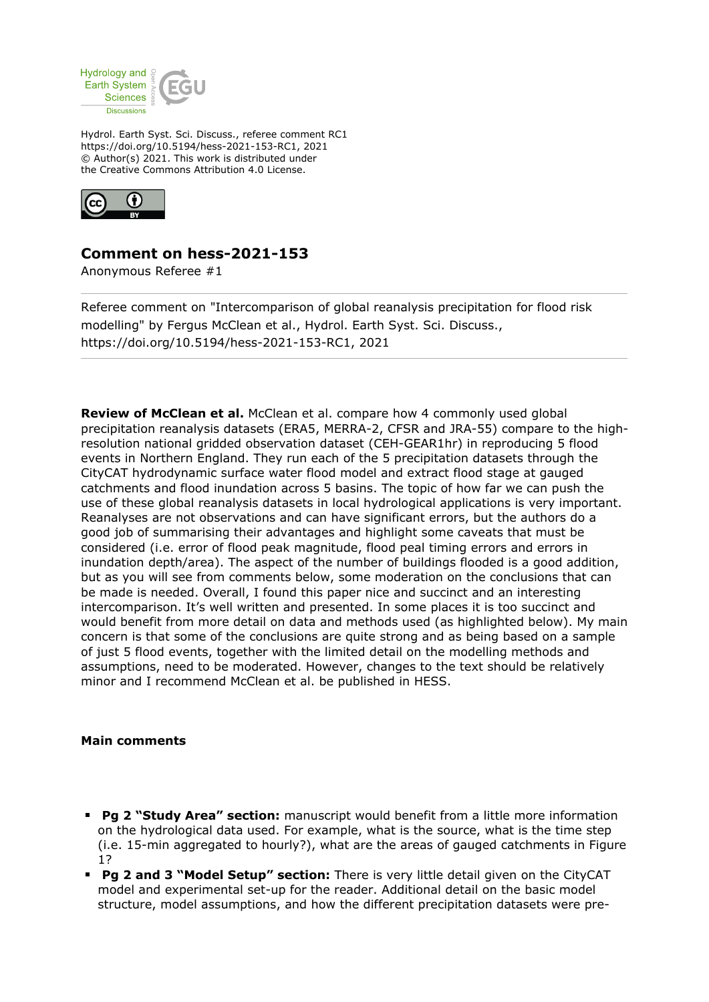

Hydrol. Earth Syst. Sci. Discuss., referee comment RC1 https://doi.org/10.5194/hess-2021-153-RC1, 2021 © Author(s) 2021. This work is distributed under the Creative Commons Attribution 4.0 License.



## **Comment on hess-2021-153**

Anonymous Referee #1

Referee comment on "Intercomparison of global reanalysis precipitation for flood risk modelling" by Fergus McClean et al., Hydrol. Earth Syst. Sci. Discuss., https://doi.org/10.5194/hess-2021-153-RC1, 2021

**Review of McClean et al.** McClean et al. compare how 4 commonly used global precipitation reanalysis datasets (ERA5, MERRA-2, CFSR and JRA-55) compare to the highresolution national gridded observation dataset (CEH-GEAR1hr) in reproducing 5 flood events in Northern England. They run each of the 5 precipitation datasets through the CityCAT hydrodynamic surface water flood model and extract flood stage at gauged catchments and flood inundation across 5 basins. The topic of how far we can push the use of these global reanalysis datasets in local hydrological applications is very important. Reanalyses are not observations and can have significant errors, but the authors do a good job of summarising their advantages and highlight some caveats that must be considered (i.e. error of flood peak magnitude, flood peal timing errors and errors in inundation depth/area). The aspect of the number of buildings flooded is a good addition, but as you will see from comments below, some moderation on the conclusions that can be made is needed. Overall, I found this paper nice and succinct and an interesting intercomparison. It's well written and presented. In some places it is too succinct and would benefit from more detail on data and methods used (as highlighted below). My main concern is that some of the conclusions are quite strong and as being based on a sample of just 5 flood events, together with the limited detail on the modelling methods and assumptions, need to be moderated. However, changes to the text should be relatively minor and I recommend McClean et al. be published in HESS.

## **Main comments**

- **Pg 2 "Study Area" section:** manuscript would benefit from a little more information on the hydrological data used. For example, what is the source, what is the time step (i.e. 15-min aggregated to hourly?), what are the areas of gauged catchments in Figure 1?
- **Pg 2 and 3 "Model Setup" section:** There is very little detail given on the CityCAT model and experimental set-up for the reader. Additional detail on the basic model structure, model assumptions, and how the different precipitation datasets were pre-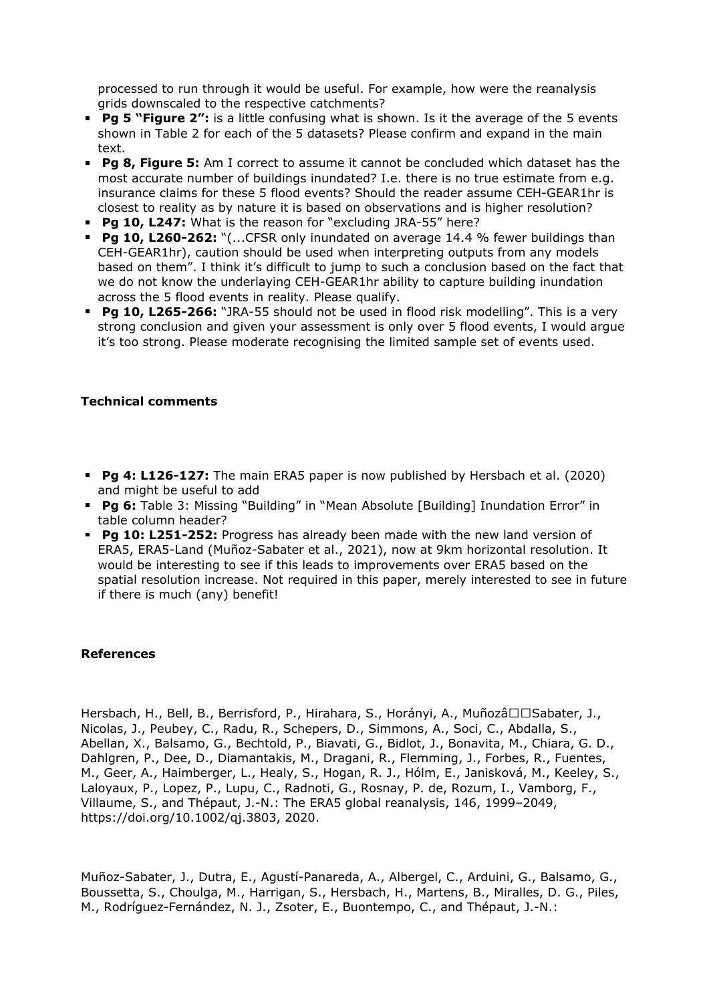processed to run through it would be useful. For example, how were the reanalysis grids downscaled to the respective catchments?

- **Pg 5 "Figure 2":** is a little confusing what is shown. Is it the average of the 5 events shown in Table 2 for each of the 5 datasets? Please confirm and expand in the main text.
- **Pg 8, Figure 5:** Am I correct to assume it cannot be concluded which dataset has the most accurate number of buildings inundated? I.e. there is no true estimate from e.g. insurance claims for these 5 flood events? Should the reader assume CEH-GEAR1hr is closest to reality as by nature it is based on observations and is higher resolution?
- **Pg 10, L247:** What is the reason for "excluding JRA-55" here?
- **Pg 10, L260-262:** "(...CFSR only inundated on average 14.4 % fewer buildings than CEH-GEAR1hr), caution should be used when interpreting outputs from any models based on them". I think it's difficult to jump to such a conclusion based on the fact that we do not know the underlaying CEH-GEAR1hr ability to capture building inundation across the 5 flood events in reality. Please qualify.
- **Pg 10, L265-266:** "JRA-55 should not be used in flood risk modelling". This is a very strong conclusion and given your assessment is only over 5 flood events, I would argue it's too strong. Please moderate recognising the limited sample set of events used.

## **Technical comments**

- **Pg 4: L126-127:** The main ERA5 paper is now published by Hersbach et al. (2020) and might be useful to add
- **Pg 6:** Table 3: Missing "Building" in "Mean Absolute [Building] Inundation Error" in table column header?
- **Pg 10: L251-252:** Progress has already been made with the new land version of ERA5, ERA5-Land (Muñoz-Sabater et al., 2021), now at 9km horizontal resolution. It would be interesting to see if this leads to improvements over ERA5 based on the spatial resolution increase. Not required in this paper, merely interested to see in future if there is much (any) benefit!

## **References**

Hersbach, H., Bell, B., Berrisford, P., Hirahara, S., Horányi, A., Muñozâ□□Sabater, J., Nicolas, J., Peubey, C., Radu, R., Schepers, D., Simmons, A., Soci, C., Abdalla, S., Abellan, X., Balsamo, G., Bechtold, P., Biavati, G., Bidlot, J., Bonavita, M., Chiara, G. D., Dahlgren, P., Dee, D., Diamantakis, M., Dragani, R., Flemming, J., Forbes, R., Fuentes, M., Geer, A., Haimberger, L., Healy, S., Hogan, R. J., Hólm, E., Janisková, M., Keeley, S., Laloyaux, P., Lopez, P., Lupu, C., Radnoti, G., Rosnay, P. de, Rozum, I., Vamborg, F., Villaume, S., and Thépaut, J.-N.: The ERA5 global reanalysis, 146, 1999–2049, https://doi.org/10.1002/qj.3803, 2020.

Muñoz-Sabater, J., Dutra, E., Agustí-Panareda, A., Albergel, C., Arduini, G., Balsamo, G., Boussetta, S., Choulga, M., Harrigan, S., Hersbach, H., Martens, B., Miralles, D. G., Piles, M., Rodríguez-Fernández, N. J., Zsoter, E., Buontempo, C., and Thépaut, J.-N.: